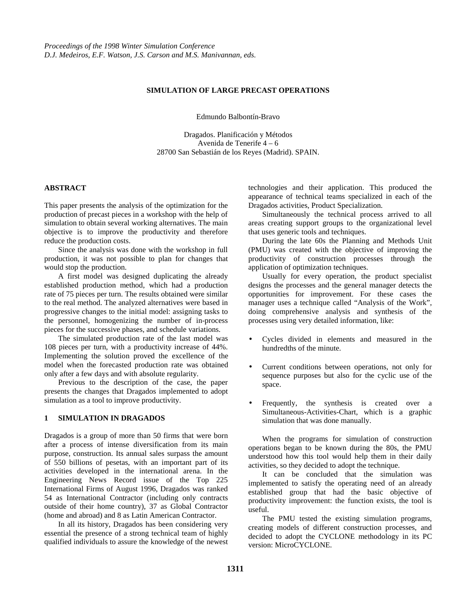# **SIMULATION OF LARGE PRECAST OPERATIONS**

Edmundo Balbontín-Bravo

Dragados. Planificación y Métodos Avenida de Tenerife 4 – 6 28700 San Sebastián de los Reyes (Madrid). SPAIN.

## **ABSTRACT**

This paper presents the analysis of the optimization for the production of precast pieces in a workshop with the help of simulation to obtain several working alternatives. The main objective is to improve the productivity and therefore reduce the production costs.

Since the analysis was done with the workshop in full production, it was not possible to plan for changes that would stop the production.

A first model was designed duplicating the already established production method, which had a production rate of 75 pieces per turn. The results obtained were similar to the real method. The analyzed alternatives were based in progressive changes to the initial model: assigning tasks to the personnel, homogenizing the number of in-process pieces for the successive phases, and schedule variations.

The simulated production rate of the last model was 108 pieces per turn, with a productivity increase of 44%. Implementing the solution proved the excellence of the model when the forecasted production rate was obtained only after a few days and with absolute regularity.

Previous to the description of the case, the paper presents the changes that Dragados implemented to adopt simulation as a tool to improve productivity.

## **1 SIMULATION IN DRAGADOS**

Dragados is a group of more than 50 firms that were born after a process of intense diversification from its main purpose, construction. Its annual sales surpass the amount of 550 billions of pesetas, with an important part of its activities developed in the international arena. In the Engineering News Record issue of the Top 225 International Firms of August 1996, Dragados was ranked 54 as International Contractor (including only contracts outside of their home country), 37 as Global Contractor (home and abroad) and 8 as Latin American Contractor.

In all its history, Dragados has been considering very essential the presence of a strong technical team of highly qualified individuals to assure the knowledge of the newest technologies and their application. This produced the appearance of technical teams specialized in each of the Dragados activities, Product Specialization.

Simultaneously the technical process arrived to all areas creating support groups to the organizational level that uses generic tools and techniques.

During the late 60s the Planning and Methods Unit (PMU) was created with the objective of improving the productivity of construction processes through the application of optimization techniques.

Usually for every operation, the product specialist designs the processes and the general manager detects the opportunities for improvement. For these cases the manager uses a technique called "Analysis of the Work", doing comprehensive analysis and synthesis of the processes using very detailed information, like:

- Cycles divided in elements and measured in the hundredths of the minute.
- Current conditions between operations, not only for sequence purposes but also for the cyclic use of the space.
- Frequently, the synthesis is created over a Simultaneous-Activities-Chart, which is a graphic simulation that was done manually.

When the programs for simulation of construction operations began to be known during the 80s, the PMU understood how this tool would help them in their daily activities, so they decided to adopt the technique.

It can be concluded that the simulation was implemented to satisfy the operating need of an already established group that had the basic objective of productivity improvement: the function exists, the tool is useful.

The PMU tested the existing simulation programs, creating models of different construction processes, and decided to adopt the CYCLONE methodology in its PC version: MicroCYCLONE.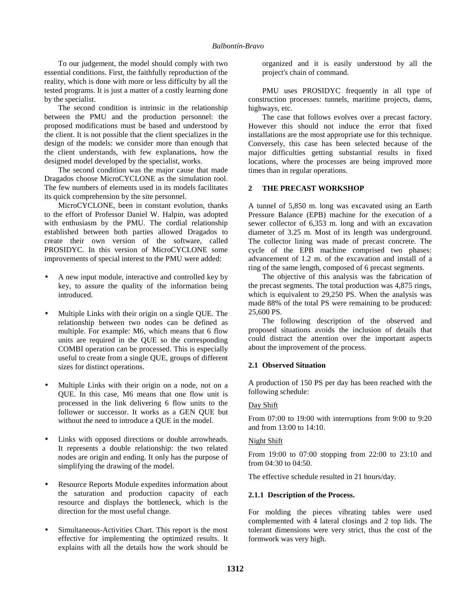To our judgement, the model should comply with two essential conditions. First, the faithfully reproduction of the reality, which is done with more or less difficulty by all the tested programs. It is just a matter of a costly learning done by the specialist.

The second condition is intrinsic in the relationship between the PMU and the production personnel: the proposed modifications must be based and understood by the client. It is not possible that the client specializes in the design of the models: we consider more than enough that the client understands, with few explanations, how the designed model developed by the specialist, works.

The second condition was the major cause that made Dragados choose MicroCYCLONE as the simulation tool. The few numbers of elements used in its models facilitates its quick comprehension by the site personnel.

MicroCYCLONE, been in constant evolution, thanks to the effort of Professor Daniel W. Halpin, was adopted with enthusiasm by the PMU. The cordial relationship established between both parties allowed Dragados to create their own version of the software, called PROSIDYC. In this version of MicroCYCLONE some improvements of special interest to the PMU were added:

- A new input module, interactive and controlled key by key, to assure the quality of the information being introduced.
- Multiple Links with their origin on a single QUE. The relationship between two nodes can be defined as multiple. For example: M6, which means that 6 flow units are required in the QUE so the corresponding COMBI operation can be processed. This is especially useful to create from a single QUE, groups of different sizes for distinct operations.
- Multiple Links with their origin on a node, not on a QUE. In this case, M6 means that one flow unit is processed in the link delivering 6 flow units to the follower or successor. It works as a GEN QUE but without the need to introduce a QUE in the model.
- Links with opposed directions or double arrowheads. It represents a double relationship: the two related nodes are origin and ending. It only has the purpose of simplifying the drawing of the model.
- Resource Reports Module expedites information about the saturation and production capacity of each resource and displays the bottleneck, which is the direction for the most useful change.
- Simultaneous-Activities Chart. This report is the most effective for implementing the optimized results. It explains with all the details how the work should be

organized and it is easily understood by all the project's chain of command.

PMU uses PROSIDYC frequently in all type of construction processes: tunnels, maritime projects, dams, highways, etc.

The case that follows evolves over a precast factory. However this should not induce the error that fixed installations are the most appropriate use for this technique. Conversely, this case has been selected because of the major difficulties getting substantial results in fixed locations, where the processes are being improved more times than in regular operations.

## **2 THE PRECAST WORKSHOP**

A tunnel of 5,850 m. long was excavated using an Earth Pressure Balance (EPB) machine for the execution of a sewer collector of 6,353 m. long and with an excavation diameter of 3.25 m. Most of its length was underground. The collector lining was made of precast concrete. The cycle of the EPB machine comprised two phases: advancement of 1.2 m. of the excavation and install of a ring of the same length, composed of 6 precast segments.

The objective of this analysis was the fabrication of the precast segments. The total production was 4,875 rings, which is equivalent to 29,250 PS. When the analysis was made 88% of the total PS were remaining to be produced: 25,600 PS.

The following description of the observed and proposed situations avoids the inclusion of details that could distract the attention over the important aspects about the improvement of the process.

## **2.1 Observed Situation**

A production of 150 PS per day has been reached with the following schedule:

### Day Shift

From 07:00 to 19:00 with interruptions from 9:00 to 9:20 and from 13:00 to 14:10.

### Night Shift

From 19:00 to 07:00 stopping from 22:00 to 23:10 and from 04:30 to 04:50.

The effective schedule resulted in 21 hours/day.

## **2.1.1 Description of the Process.**

For molding the pieces vibrating tables were used complemented with 4 lateral closings and 2 top lids. The tolerant dimensions were very strict, thus the cost of the formwork was very high.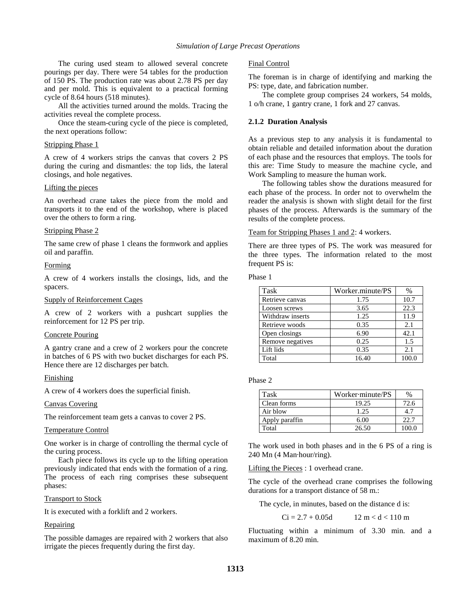The curing used steam to allowed several concrete pourings per day. There were 54 tables for the production of 150 PS. The production rate was about 2.78 PS per day and per mold. This is equivalent to a practical forming cycle of 8.64 hours (518 minutes).

All the activities turned around the molds. Tracing the activities reveal the complete process.

Once the steam-curing cycle of the piece is completed, the next operations follow:

### Stripping Phase 1

A crew of 4 workers strips the canvas that covers 2 PS during the curing and dismantles: the top lids, the lateral closings, and hole negatives.

# Lifting the pieces

An overhead crane takes the piece from the mold and transports it to the end of the workshop, where is placed over the others to form a ring.

#### Stripping Phase 2

The same crew of phase 1 cleans the formwork and applies oil and paraffin.

#### Forming

A crew of 4 workers installs the closings, lids, and the spacers.

### Supply of Reinforcement Cages

A crew of 2 workers with a pushcart supplies the reinforcement for 12 PS per trip.

#### Concrete Pouring

A gantry crane and a crew of 2 workers pour the concrete in batches of 6 PS with two bucket discharges for each PS. Hence there are 12 discharges per batch.

### Finishing

A crew of 4 workers does the superficial finish.

### Canvas Covering

The reinforcement team gets a canvas to cover 2 PS.

#### Temperature Control

One worker is in charge of controlling the thermal cycle of the curing process.

Each piece follows its cycle up to the lifting operation previously indicated that ends with the formation of a ring. The process of each ring comprises these subsequent phases:

### Transport to Stock

It is executed with a forklift and 2 workers.

### Repairing

The possible damages are repaired with 2 workers that also irrigate the pieces frequently during the first day.

#### Final Control

The foreman is in charge of identifying and marking the PS: type, date, and fabrication number.

The complete group comprises 24 workers, 54 molds, 1 o/h crane, 1 gantry crane, 1 fork and 27 canvas.

#### **2.1.2 Duration Analysis**

As a previous step to any analysis it is fundamental to obtain reliable and detailed information about the duration of each phase and the resources that employs. The tools for this are: Time Study to measure the machine cycle, and Work Sampling to measure the human work.

The following tables show the durations measured for each phase of the process. In order not to overwhelm the reader the analysis is shown with slight detail for the first phases of the process. Afterwards is the summary of the results of the complete process.

### Team for Stripping Phases 1 and 2: 4 workers.

There are three types of PS. The work was measured for the three types. The information related to the most frequent PS is:

Phase 1

| Task             | Worker.minute/PS | $\%$  |
|------------------|------------------|-------|
| Retrieve canvas  | 1.75             | 10.7  |
| Loosen screws    | 3.65             | 22.3  |
| Withdraw inserts | 1.25             | 11.9  |
| Retrieve woods   | 0.35             | 2.1   |
| Open closings    | 6.90             | 42.1  |
| Remove negatives | 0.25             | 1.5   |
| Lift lids        | 0.35             | 2.1   |
| Total            | 16.40            | 100.0 |

#### Phase 2

| Task           | Worker $\cdot$ minute/PS | $\%$  |
|----------------|--------------------------|-------|
| Clean forms    | 19.25                    | 72.6  |
| Air blow       | 1.25                     |       |
| Apply paraffin | 6.00                     | 22.7  |
| Total          | 26.50                    | 100.0 |

The work used in both phases and in the 6 PS of a ring is 240 Mn (4 Man·hour/ring).

Lifting the Pieces : 1 overhead crane.

The cycle of the overhead crane comprises the following durations for a transport distance of 58 m.:

The cycle, in minutes, based on the distance d is:

 $Ci = 2.7 + 0.05d$  12 m < d < 110 m

Fluctuating within a minimum of 3.30 min. and a maximum of 8.20 min.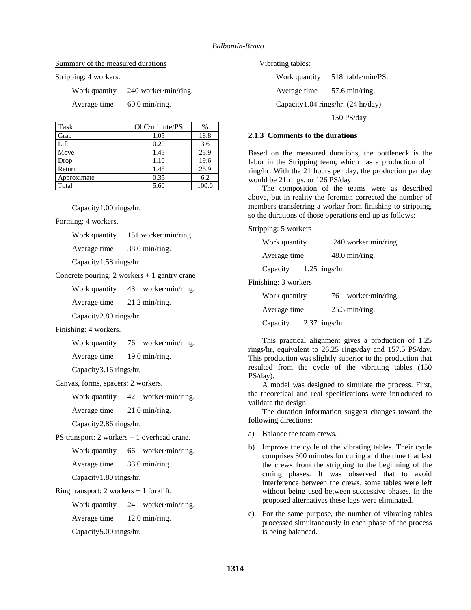Summary of the measured durations

Stripping: 4 workers.

| Work quantity | 240 worker min/ring. |
|---------------|----------------------|
|---------------|----------------------|

Average time 60.0 min/ring.

| Task        | OhC·minute/PS | $\%$  |
|-------------|---------------|-------|
| Grab        | 1.05          | 18.8  |
| Lift        | 0.20          | 3.6   |
| Move        | 1.45          | 25.9  |
| Drop        | 1.10          | 19.6  |
| Return      | 1.45          | 25.9  |
| Approximate | 0.35          | 6.2   |
| Total       | 5.60          | 100.0 |

Capacity1.00 rings/hr.

Forming: 4 workers.

Work quantity 151 worker·min/ring.

Average time 38.0 min/ring.

Capacity1.58 rings/hr.

Concrete pouring:  $2$  workers  $+1$  gantry crane

Work quantity 43 worker-min/ring.

Average time 21.2 min/ring.

Capacity2.80 rings/hr.

Finishing: 4 workers.

Work quantity 76 worker-min/ring.

Average time 19.0 min/ring.

Capacity3.16 rings/hr.

Canvas, forms, spacers: 2 workers.

Work quantity 42 worker-min/ring.

Average time 21.0 min/ring.

Capacity2.86 rings/hr.

PS transport: 2 workers + 1 overhead crane.

Work quantity 66 worker-min/ring.

Average time 33.0 min/ring.

Capacity1.80 rings/hr.

Ring transport: 2 workers + 1 forklift.

Work quantity 24 worker-min/ring.

Average time 12.0 min/ring.

Capacity5.00 rings/hr.

#### Vibrating tables:

Work quantity 518 table-min/PS. Average time 57.6 min/ring. Capacity1.04 rings/hr. (24 hr/day) 150 PS/day

# **2.1.3 Comments to the durations**

Based on the measured durations, the bottleneck is the labor in the Stripping team, which has a production of 1 ring/hr. With the 21 hours per day, the production per day would be 21 rings, or 126 PS/day.

The composition of the teams were as described above, but in reality the foremen corrected the number of members transferring a worker from finishing to stripping, so the durations of those operations end up as follows:

Stripping: 5 workers

| Work quantity | $240$ worker min/ring.   |
|---------------|--------------------------|
| Average time  | $48.0 \text{ min/ring.}$ |
| Capacity      | $1.25$ rings/hr.         |
|               |                          |

Finishing: 3 workers

| Work quantity |                  | 76. | worker $\cdot$ min/ring. |
|---------------|------------------|-----|--------------------------|
| Average time  |                  |     | $25.3 \text{ min/ring.}$ |
| Capacity      | $2.37$ rings/hr. |     |                          |

This practical alignment gives a production of 1.25 rings/hr, equivalent to 26.25 rings/day and 157.5 PS/day. This production was slightly superior to the production that resulted from the cycle of the vibrating tables (150 PS/day).

A model was designed to simulate the process. First, the theoretical and real specifications were introduced to validate the design.

The duration information suggest changes toward the following directions:

- a) Balance the team crews.
- b) Improve the cycle of the vibrating tables. Their cycle comprises 300 minutes for curing and the time that last the crews from the stripping to the beginning of the curing phases. It was observed that to avoid interference between the crews, some tables were left without being used between successive phases. In the proposed alternatives these lags were eliminated.
- c) For the same purpose, the number of vibrating tables processed simultaneously in each phase of the process is being balanced.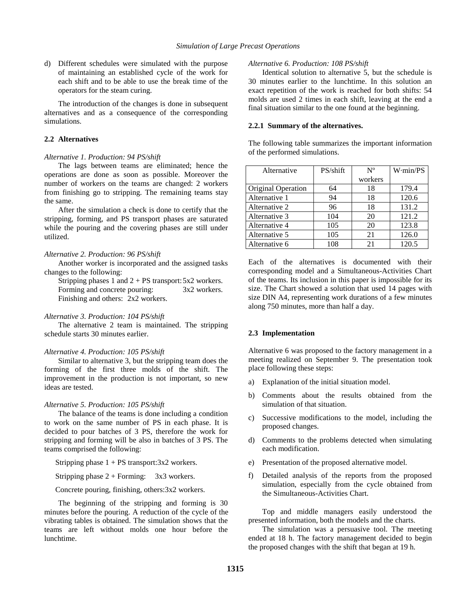d) Different schedules were simulated with the purpose of maintaining an established cycle of the work for each shift and to be able to use the break time of the operators for the steam curing.

The introduction of the changes is done in subsequent alternatives and as a consequence of the corresponding simulations.

### **2.2 Alternatives**

#### *Alternative 1. Production: 94 PS/shift*

The lags between teams are eliminated; hence the operations are done as soon as possible. Moreover the number of workers on the teams are changed: 2 workers from finishing go to stripping. The remaining teams stay the same.

After the simulation a check is done to certify that the stripping, forming, and PS transport phases are saturated while the pouring and the covering phases are still under utilized.

#### *Alternative 2. Production: 96 PS/shift*

Another worker is incorporated and the assigned tasks changes to the following:

Stripping phases 1 and  $2 + PS$  transport: 5x2 workers. Forming and concrete pouring:  $3x2$  workers. Finishing and others: 2x2 workers.

#### *Alternative 3. Production: 104 PS/shift*

The alternative 2 team is maintained. The stripping schedule starts 30 minutes earlier.

#### *Alternative 4. Production: 105 PS/shift*

Similar to alternative 3, but the stripping team does the forming of the first three molds of the shift. The improvement in the production is not important, so new ideas are tested.

#### *Alternative 5. Production: 105 PS/shift*

The balance of the teams is done including a condition to work on the same number of PS in each phase. It is decided to pour batches of 3 PS, therefore the work for stripping and forming will be also in batches of 3 PS. The teams comprised the following:

Stripping phase  $1 + PS$  transport: $3x2$  workers.

Stripping phase  $2 +$  Forming:  $3x3$  workers.

Concrete pouring, finishing, others:3x2 workers.

The beginning of the stripping and forming is 30 minutes before the pouring. A reduction of the cycle of the vibrating tables is obtained. The simulation shows that the teams are left without molds one hour before the lunchtime.

#### *Alternative 6. Production: 108 PS/shift*

Identical solution to alternative 5, but the schedule is 30 minutes earlier to the lunchtime. In this solution an exact repetition of the work is reached for both shifts: 54 molds are used 2 times in each shift, leaving at the end a final situation similar to the one found at the beginning.

#### **2.2.1 Summary of the alternatives.**

The following table summarizes the important information of the performed simulations.

| Alternative               | PS/shift | $N^{\rm o}$ | W·min/PS |
|---------------------------|----------|-------------|----------|
|                           |          | workers     |          |
| <b>Original Operation</b> | 64       | 18          | 179.4    |
| Alternative 1             | 94       | 18          | 120.6    |
| Alternative 2             | 96       | 18          | 131.2    |
| Alternative 3             | 104      | 20          | 121.2    |
| Alternative 4             | 105      | 20          | 123.8    |
| Alternative 5             | 105      | 21          | 126.0    |
| Alternative 6             | 108      | 21          | 120.5    |

Each of the alternatives is documented with their corresponding model and a Simultaneous-Activities Chart of the teams. Its inclusion in this paper is impossible for its size. The Chart showed a solution that used 14 pages with size DIN A4, representing work durations of a few minutes along 750 minutes, more than half a day.

### **2.3 Implementation**

Alternative 6 was proposed to the factory management in a meeting realized on September 9. The presentation took place following these steps:

- a) Explanation of the initial situation model.
- b) Comments about the results obtained from the simulation of that situation.
- c) Successive modifications to the model, including the proposed changes.
- d) Comments to the problems detected when simulating each modification.
- e) Presentation of the proposed alternative model.
- f) Detailed analysis of the reports from the proposed simulation, especially from the cycle obtained from the Simultaneous-Activities Chart.

Top and middle managers easily understood the presented information, both the models and the charts.

The simulation was a persuasive tool. The meeting ended at 18 h. The factory management decided to begin the proposed changes with the shift that began at 19 h.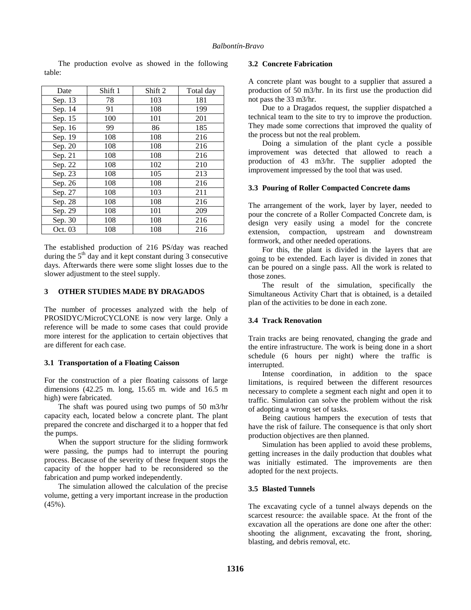| Date    | Shift 1 | Shift 2 | Total day |
|---------|---------|---------|-----------|
| Sep. 13 | 78      | 103     | 181       |
| Sep. 14 | 91      | 108     | 199       |
| Sep. 15 | 100     | 101     | 201       |
| Sep. 16 | 99      | 86      | 185       |
| Sep. 19 | 108     | 108     | 216       |
| Sep. 20 | 108     | 108     | 216       |
| Sep. 21 | 108     | 108     | 216       |
| Sep. 22 | 108     | 102     | 210       |
| Sep. 23 | 108     | 105     | 213       |
| Sep. 26 | 108     | 108     | 216       |
| Sep. 27 | 108     | 103     | 211       |
| Sep. 28 | 108     | 108     | 216       |
| Sep. 29 | 108     | 101     | 209       |
| Sep. 30 | 108     | 108     | 216       |
| Oct. 03 | 108     | 108     | 216       |

The production evolve as showed in the following table:

The established production of 216 PS/day was reached during the  $5<sup>th</sup>$  day and it kept constant during 3 consecutive days. Afterwards there were some slight losses due to the slower adjustment to the steel supply.

## **3 OTHER STUDIES MADE BY DRAGADOS**

The number of processes analyzed with the help of PROSIDYC/MicroCYCLONE is now very large. Only a reference will be made to some cases that could provide more interest for the application to certain objectives that are different for each case.

## **3.1 Transportation of a Floating Caisson**

For the construction of a pier floating caissons of large dimensions (42.25 m. long, 15.65 m. wide and 16.5 m high) were fabricated.

The shaft was poured using two pumps of 50 m3/hr capacity each, located below a concrete plant. The plant prepared the concrete and discharged it to a hopper that fed the pumps.

When the support structure for the sliding formwork were passing, the pumps had to interrupt the pouring process. Because of the severity of these frequent stops the capacity of the hopper had to be reconsidered so the fabrication and pump worked independently.

The simulation allowed the calculation of the precise volume, getting a very important increase in the production (45%).

## **3.2 Concrete Fabrication**

A concrete plant was bought to a supplier that assured a production of 50 m3/hr. In its first use the production did not pass the 33 m3/hr.

Due to a Dragados request, the supplier dispatched a technical team to the site to try to improve the production. They made some corrections that improved the quality of the process but not the real problem.

Doing a simulation of the plant cycle a possible improvement was detected that allowed to reach a production of 43 m3/hr. The supplier adopted the improvement impressed by the tool that was used.

## **3.3 Pouring of Roller Compacted Concrete dams**

The arrangement of the work, layer by layer, needed to pour the concrete of a Roller Compacted Concrete dam, is design very easily using a model for the concrete extension, compaction, upstream and downstream formwork, and other needed operations.

For this, the plant is divided in the layers that are going to be extended. Each layer is divided in zones that can be poured on a single pass. All the work is related to those zones.

The result of the simulation, specifically the Simultaneous Activity Chart that is obtained, is a detailed plan of the activities to be done in each zone.

## **3.4 Track Renovation**

Train tracks are being renovated, changing the grade and the entire infrastructure. The work is being done in a short schedule (6 hours per night) where the traffic is interrupted.

Intense coordination, in addition to the space limitations, is required between the different resources necessary to complete a segment each night and open it to traffic. Simulation can solve the problem without the risk of adopting a wrong set of tasks.

Being cautious hampers the execution of tests that have the risk of failure. The consequence is that only short production objectives are then planned.

Simulation has been applied to avoid these problems, getting increases in the daily production that doubles what was initially estimated. The improvements are then adopted for the next projects.

## **3.5 Blasted Tunnels**

The excavating cycle of a tunnel always depends on the scarcest resource: the available space. At the front of the excavation all the operations are done one after the other: shooting the alignment, excavating the front, shoring, blasting, and debris removal, etc.